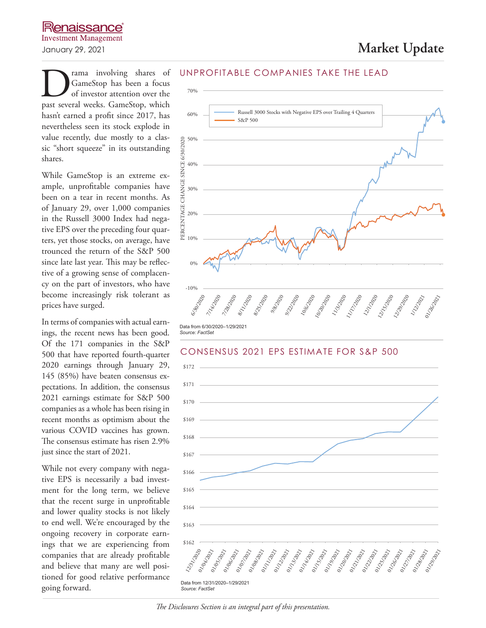**D** rama involving shares of GameStop has been a focus of investor attention over the past several weeks. GameStop, which GameStop has been a focus of investor attention over the hasn't earned a profit since 2017, has nevertheless seen its stock explode in value recently, due mostly to a classic "short squeeze" in its outstanding shares.

While GameStop is an extreme example, unprofitable companies have been on a tear in recent months. As of January 29, over 1,000 companies in the Russell 3000 Index had negative EPS over the preceding four quarters, yet those stocks, on average, have trounced the return of the S&P 500 since late last year. This may be reflective of a growing sense of complacency on the part of investors, who have become increasingly risk tolerant as prices have surged.

In terms of companies with actual earnings, the recent news has been good. Of the 171 companies in the S&P 500 that have reported fourth-quarter 2020 earnings through January 29, 145 (85%) have beaten consensus expectations. In addition, the consensus 2021 earnings estimate for S&P 500 companies as a whole has been rising in recent months as optimism about the various COVID vaccines has grown. The consensus estimate has risen 2.9% just since the start of 2021.

While not every company with negative EPS is necessarily a bad investment for the long term, we believe that the recent surge in unprofitable and lower quality stocks is not likely to end well. We're encouraged by the ongoing recovery in corporate earnings that we are experiencing from companies that are already profitable and believe that many are well positioned for good relative performance going forward.

#### UNPROFITABLE COMPANIES TAKE THE LEAD





*The Disclosures Section is an integral part of this presentation.*